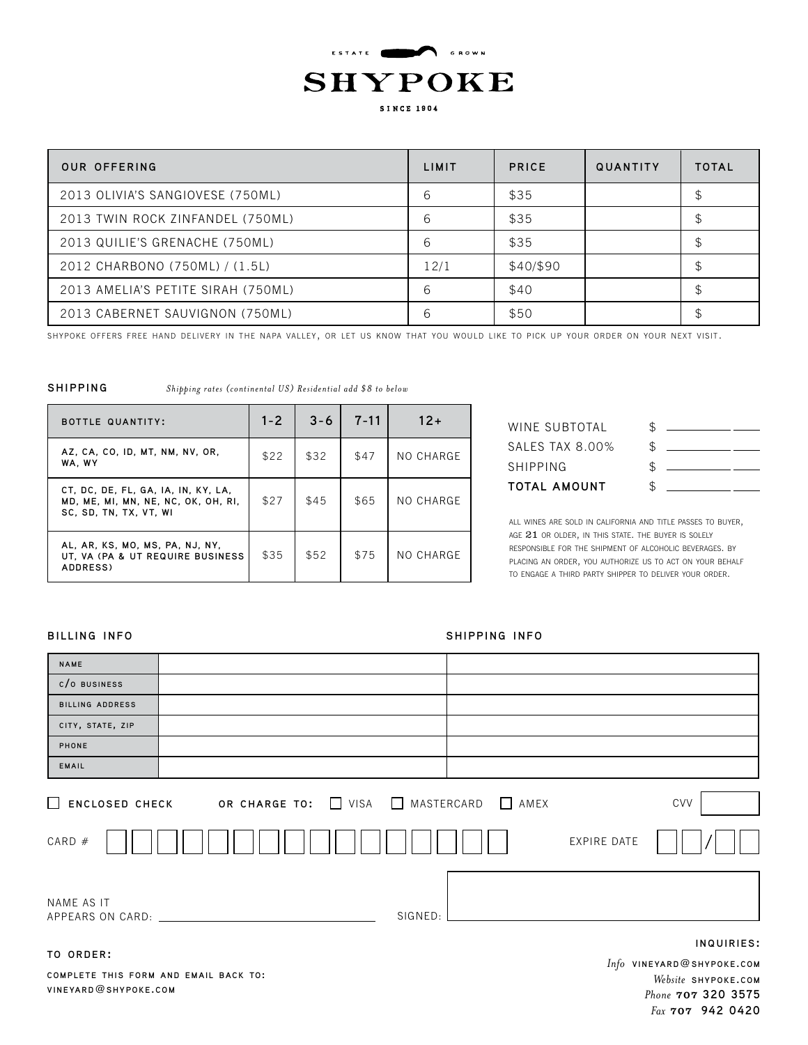

| OUR OFFERING                       | LIMIT | <b>PRICE</b> | QUANTITY | <b>TOTAL</b> |
|------------------------------------|-------|--------------|----------|--------------|
| 2013 OLIVIA'S SANGIOVESE (750ML)   | 6     | \$35         |          | \$           |
| 2013 TWIN ROCK ZINFANDEL (750ML)   | 6     | \$35         |          | \$           |
| 2013 QUILIE'S GRENACHE (750ML)     | 6     | \$35         |          | \$           |
| 2012 CHARBONO (750ML) / (1.5L)     | 12/1  | \$40/\$90    |          | \$           |
| 2013 AMELIA'S PETITE SIRAH (750ML) | 6     | \$40         |          |              |
| 2013 CABERNET SAUVIGNON (750ML)    | 6     | \$50         |          |              |

shypoke offers free hand delivery in the napa valley, or let us know that you would like to pick up your order on your next visit.

#### **shipping**

*Shipping rates (continental US) Residential add \$8 to below*

| <b>BOTTLE QUANTITY:</b>                                                                              | $1 - 2$ | $3 - 6$ | $7 - 11$ | $12+$     |
|------------------------------------------------------------------------------------------------------|---------|---------|----------|-----------|
| AZ, CA, CO, ID, MT, NM, NV, OR,<br>WA, WY                                                            | \$22    | \$32    | \$47     | NO CHARGE |
| CT, DC, DE, FL, GA, IA, IN, KY, LA,<br>MD, ME, MI, MN, NE, NC, OK, OH, RI,<br>SC. SD. TN. TX. VT. WI | \$27    | \$45    | \$65     | NO CHARGE |
| AL, AR, KS, MO, MS, PA, NJ, NY,<br>UT, VA (PA & UT REQUIRE BUSINESS<br>ADDRESS)                      | \$35    | \$52    | \$75     | NO CHARGE |

| ፍ          |                                              |
|------------|----------------------------------------------|
| ፍ          |                                              |
| $\uparrow$ |                                              |
| \$         |                                              |
|            | <u> 1980 - Andrea Andrew Maria (b. 1980)</u> |

all wines are sold in california and title passes to buyer, AGE 21 OR OLDER, IN THIS STATE. THE BUYER IS SOLELY responsible for the shipment of alcoholic beverages. by placing an order, you authorize us to act on your behalf to engage a third party shipper to deliver your order.

#### **billing info shipping info**

| <b>NAME</b>              |                                   |             |                                         |
|--------------------------|-----------------------------------|-------------|-----------------------------------------|
| CO BUSINESS              |                                   |             |                                         |
| BILLING ADDRESS          |                                   |             |                                         |
| CITY, STATE, ZIP         |                                   |             |                                         |
| PHONE                    |                                   |             |                                         |
| EMAIL                    |                                   |             |                                         |
| ENCLOSED CHECK<br>CARD # | OR CHARGE TO: USA NASTERCARD AMEX | EXPIRE DATE | CVV                                     |
| NAME AS IT               | SIGNED:                           |             |                                         |
| TO ORDER:                |                                   |             | INQUIRIES:<br>Info VINEYARD@SHYPOKE.COM |

**comple te this form and email back to: vineyard**@**shypoke.com**

*Website* **shypoke.com** *Phone* 707 **320 3575** *Fax* 707 **942 0420**